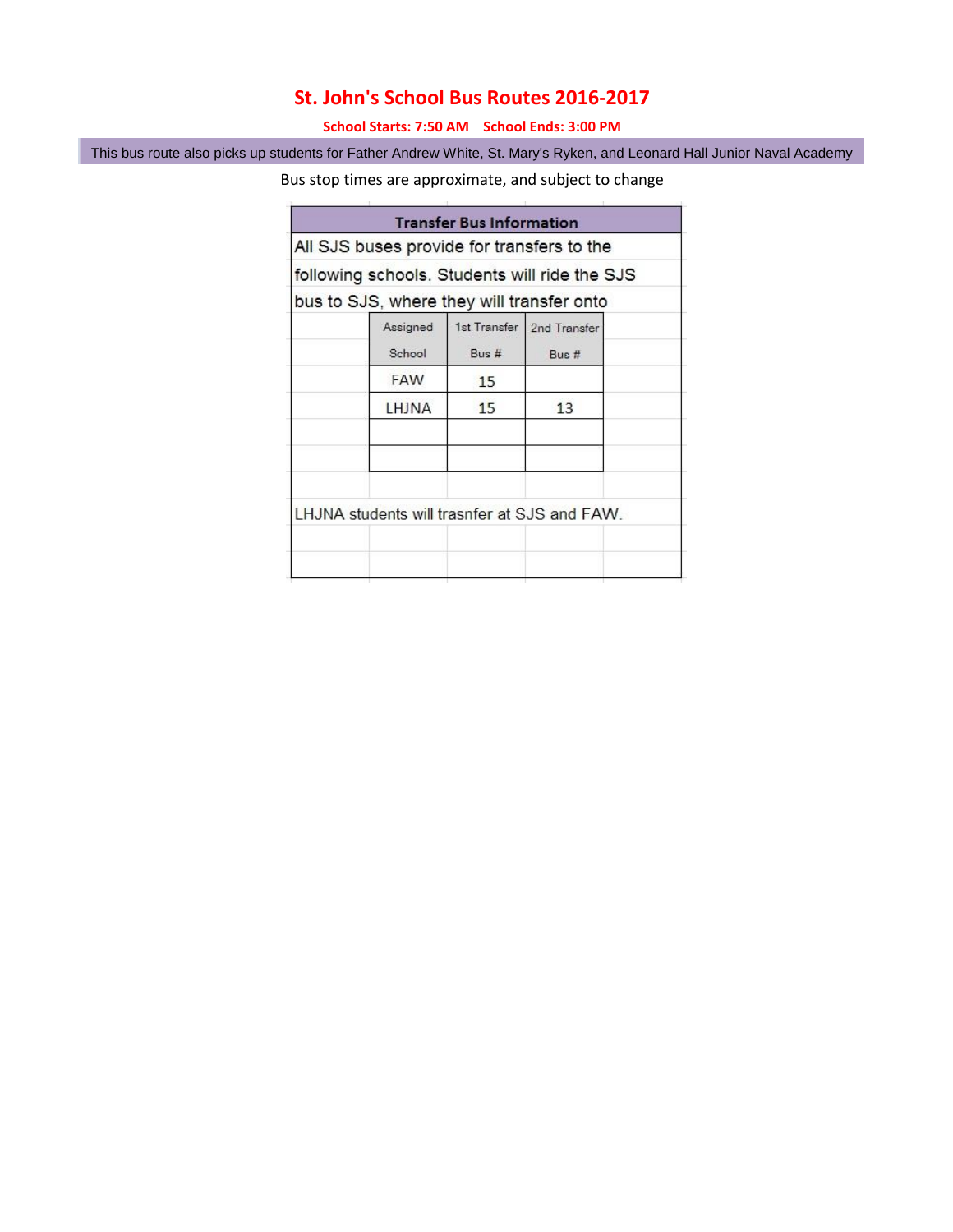## **St. John's School Bus Routes 2016-2017**

**School Starts: 7:50 AM School Ends: 3:00 PM**

This bus route also picks up students for Father Andrew White, St. Mary's Ryken, and Leonard Hall Junior Naval Academy

Bus stop times are approximate, and subject to change

| All SJS buses provide for transfers to the<br>following schools. Students will ride the SJS<br>bus to SJS, where they will transfer onto<br>1st Transfer   2nd Transfer<br>Assigned |  |
|-------------------------------------------------------------------------------------------------------------------------------------------------------------------------------------|--|
|                                                                                                                                                                                     |  |
|                                                                                                                                                                                     |  |
|                                                                                                                                                                                     |  |
| School<br>Bus #<br>Bus #                                                                                                                                                            |  |
| <b>FAW</b><br>15                                                                                                                                                                    |  |
| 15<br>13<br>LHJNA                                                                                                                                                                   |  |
| LHJNA students will trasnfer at SJS and FAW.                                                                                                                                        |  |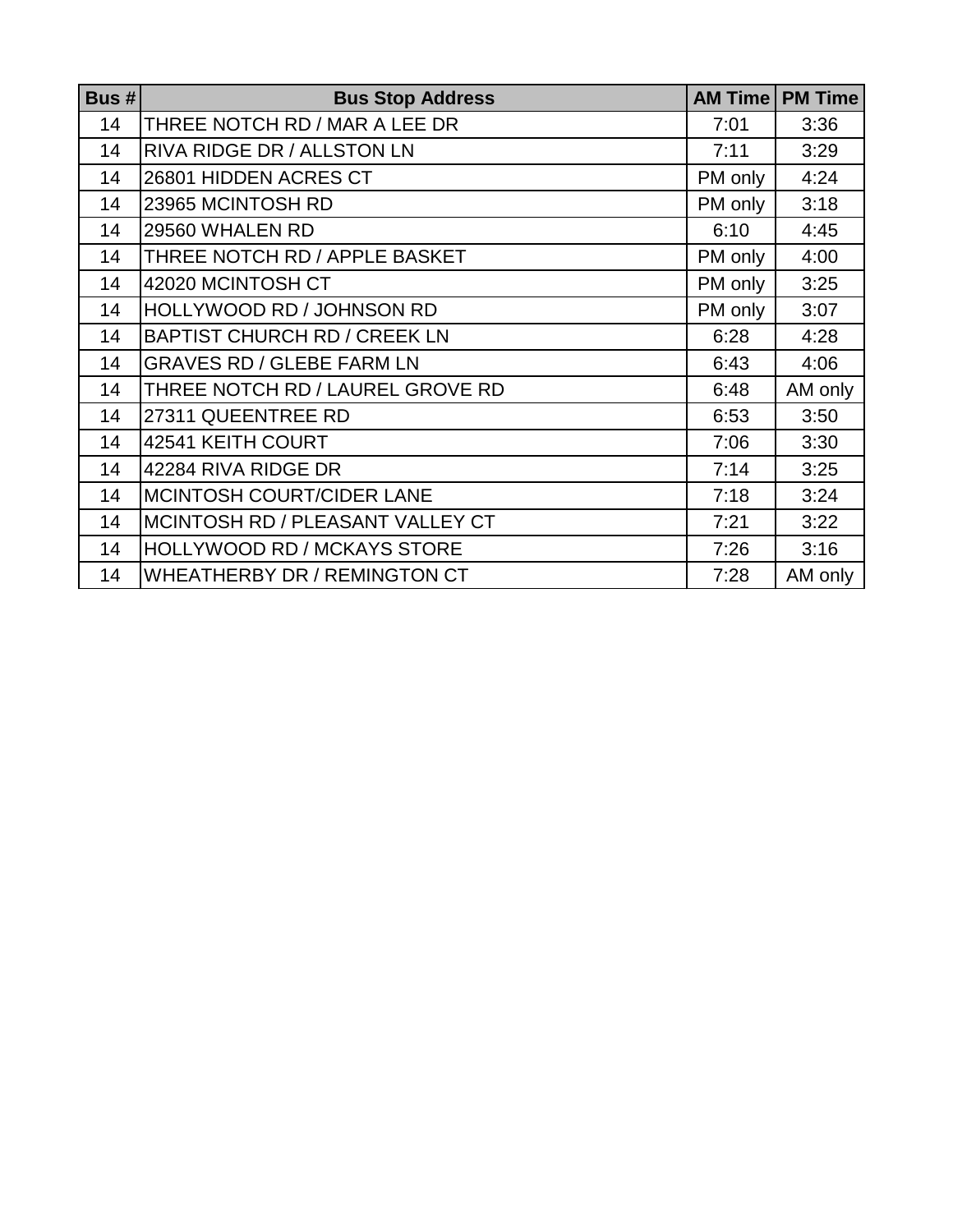| Bus $# $ | <b>Bus Stop Address</b>             | <b>AM Time</b> | <b>PM Time</b> |
|----------|-------------------------------------|----------------|----------------|
| 14       | THREE NOTCH RD / MAR A LEE DR       | 7:01           | 3:36           |
| 14       | <b>RIVA RIDGE DR / ALLSTON LN</b>   | 7:11           | 3:29           |
| 14       | 26801 HIDDEN ACRES CT               | PM only        | 4:24           |
| 14       | 23965 MCINTOSH RD                   | PM only        | 3:18           |
| 14       | 29560 WHALEN RD                     | 6:10           | 4:45           |
| 14       | THREE NOTCH RD / APPLE BASKET       | PM only        | 4:00           |
| 14       | 42020 MCINTOSH CT                   | PM only        | 3:25           |
| 14       | HOLLYWOOD RD / JOHNSON RD           | PM only        | 3:07           |
| 14       | <b>BAPTIST CHURCH RD / CREEK LN</b> | 6:28           | 4:28           |
| 14       | <b>GRAVES RD / GLEBE FARM LN</b>    | 6:43           | 4:06           |
| 14       | THREE NOTCH RD / LAUREL GROVE RD    | 6:48           | AM only        |
| 14       | 27311 QUEENTREE RD                  | 6:53           | 3:50           |
| 14       | 42541 KEITH COURT                   | 7:06           | 3:30           |
| 14       | 42284 RIVA RIDGE DR                 | 7:14           | 3:25           |
| 14       | <b>IMCINTOSH COURT/CIDER LANE</b>   | 7:18           | 3:24           |
| 14       | MCINTOSH RD / PLEASANT VALLEY CT    | 7:21           | 3:22           |
| 14       | <b>HOLLYWOOD RD / MCKAYS STORE</b>  | 7:26           | 3:16           |
| 14       | <b>WHEATHERBY DR / REMINGTON CT</b> | 7:28           | AM only        |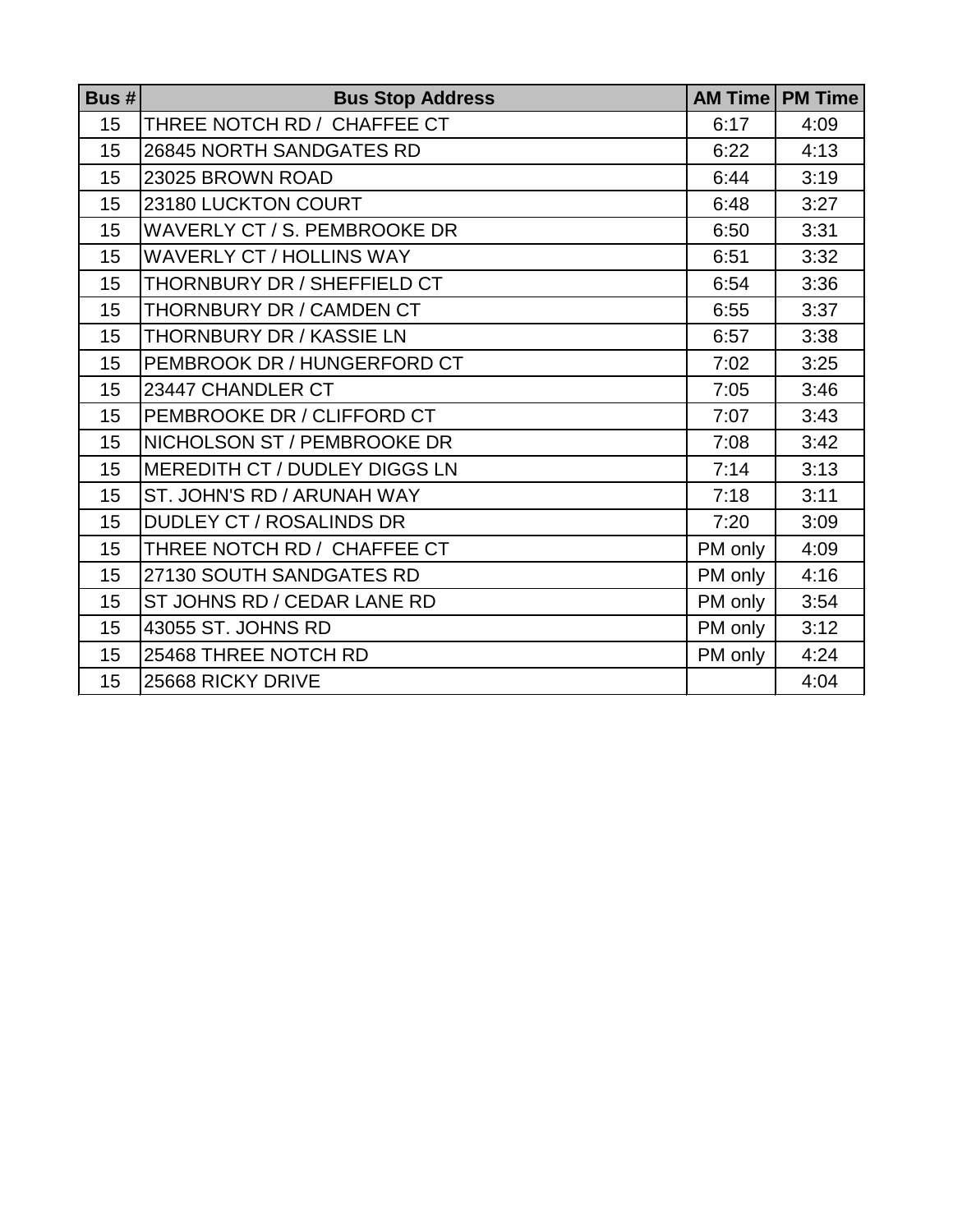| Bus #            | <b>Bus Stop Address</b>              |         | <b>AM Time   PM Time</b> |
|------------------|--------------------------------------|---------|--------------------------|
| 15               | THREE NOTCH RD / CHAFFEE CT          | 6:17    | 4:09                     |
| 15               | 26845 NORTH SANDGATES RD             | 6:22    | 4:13                     |
| 15               | 23025 BROWN ROAD                     | 6:44    | 3:19                     |
| 15               | 23180 LUCKTON COURT                  | 6:48    | 3:27                     |
| 15               | WAVERLY CT / S. PEMBROOKE DR         | 6:50    | 3:31                     |
| 15               | <b>WAVERLY CT / HOLLINS WAY</b>      | 6:51    | 3:32                     |
| 15               | THORNBURY DR / SHEFFIELD CT          | 6:54    | 3:36                     |
| 15               | THORNBURY DR / CAMDEN CT             | 6:55    | 3:37                     |
| 15               | <b>THORNBURY DR / KASSIE LN</b>      | 6:57    | 3:38                     |
| 15               | PEMBROOK DR / HUNGERFORD CT          | 7:02    | 3:25                     |
| 15               | 23447 CHANDLER CT                    | 7:05    | 3:46                     |
| 15               | PEMBROOKE DR / CLIFFORD CT           | 7:07    | 3:43                     |
| 15               | NICHOLSON ST / PEMBROOKE DR          | 7:08    | 3:42                     |
| 15               | <b>MEREDITH CT / DUDLEY DIGGS LN</b> | 7:14    | 3:13                     |
| 15               | ST. JOHN'S RD / ARUNAH WAY           | 7:18    | 3:11                     |
| 15               | <b>DUDLEY CT / ROSALINDS DR</b>      | 7:20    | 3:09                     |
| 15               | THREE NOTCH RD / CHAFFEE CT          | PM only | 4:09                     |
| 15               | 27130 SOUTH SANDGATES RD             | PM only | 4:16                     |
| 15               | ST JOHNS RD / CEDAR LANE RD          | PM only | 3:54                     |
| 15               | 43055 ST. JOHNS RD                   | PM only | 3:12                     |
| 15 <sup>15</sup> | 25468 THREE NOTCH RD                 | PM only | 4:24                     |
| 15               | 25668 RICKY DRIVE                    |         | 4:04                     |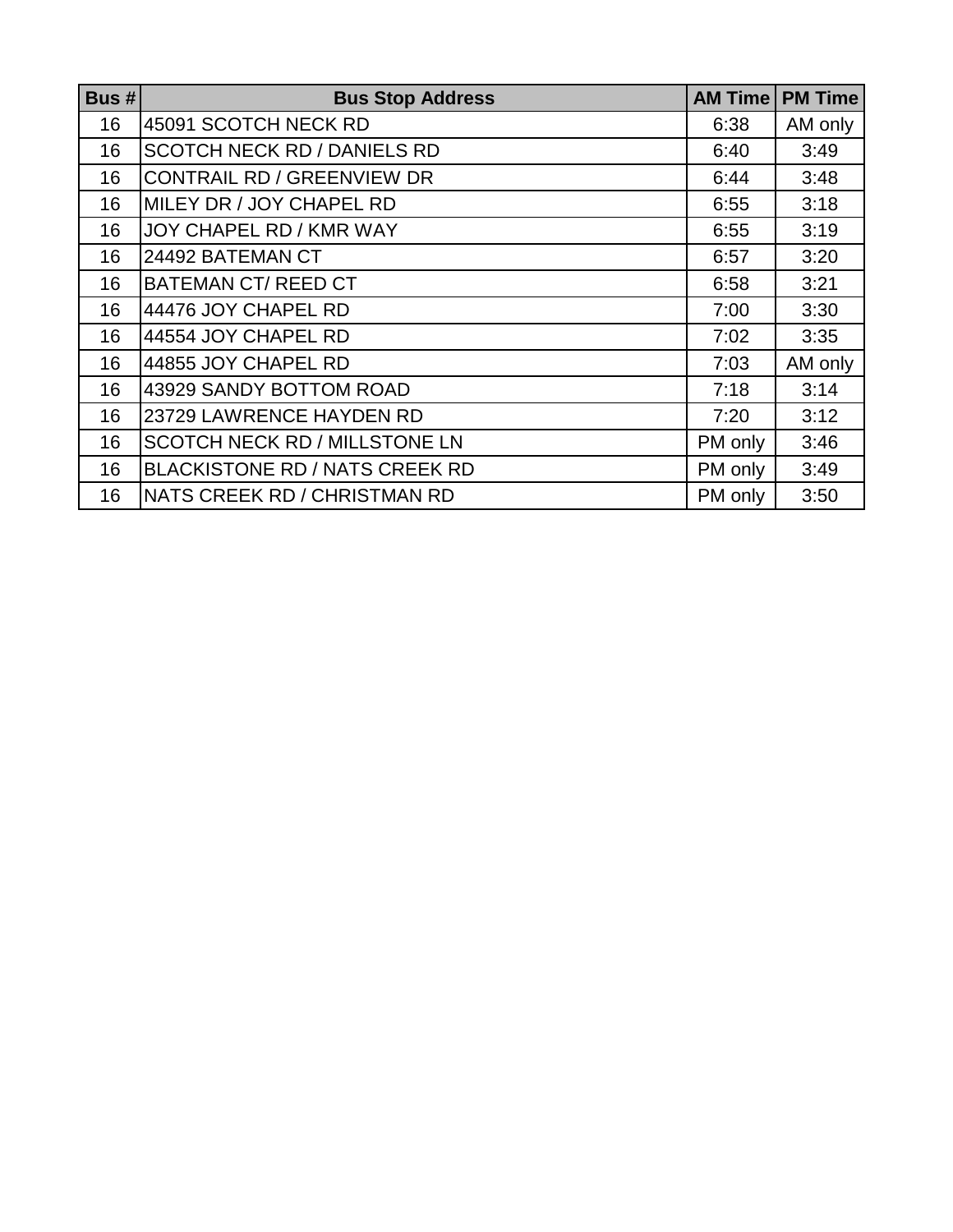| Bus $# $ | <b>Bus Stop Address</b>               | <b>AM Time</b> | <b>PM Time</b> |
|----------|---------------------------------------|----------------|----------------|
| 16       | 45091 SCOTCH NECK RD                  | 6:38           | AM only        |
| 16       | <b>SCOTCH NECK RD / DANIELS RD</b>    | 6:40           | 3:49           |
| 16       | <b>CONTRAIL RD / GREENVIEW DR</b>     | 6:44           | 3:48           |
| 16       | MILEY DR / JOY CHAPEL RD              | 6:55           | 3:18           |
| 16       | JOY CHAPEL RD / KMR WAY               | 6:55           | 3:19           |
| 16       | 24492 BATEMAN CT                      | 6:57           | 3:20           |
| 16       | <b>BATEMAN CT/ REED CT</b>            | 6:58           | 3:21           |
| 16       | 44476 JOY CHAPEL RD                   | 7:00           | 3:30           |
| 16       | 44554 JOY CHAPEL RD                   | 7:02           | 3:35           |
| 16       | 44855 JOY CHAPEL RD                   | 7:03           | AM only        |
| 16       | 43929 SANDY BOTTOM ROAD               | 7:18           | 3:14           |
| 16       | 23729 LAWRENCE HAYDEN RD              | 7:20           | 3:12           |
| 16       | <b>SCOTCH NECK RD / MILLSTONE LN</b>  | PM only        | 3:46           |
| 16       | <b>BLACKISTONE RD / NATS CREEK RD</b> | PM only        | 3:49           |
| 16       | NATS CREEK RD / CHRISTMAN RD          | PM only        | 3:50           |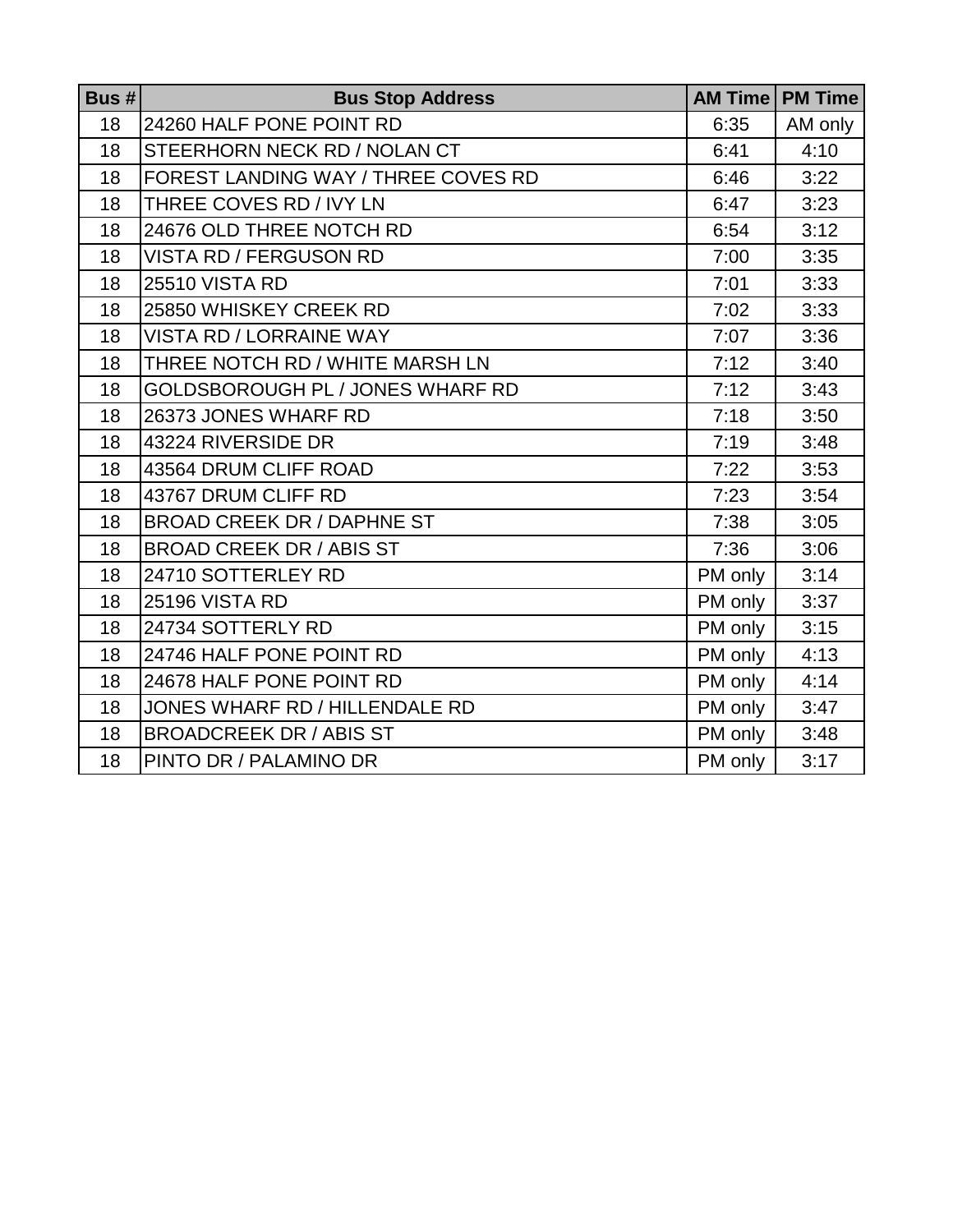| Bus $# $ | <b>Bus Stop Address</b>             | <b>AM Time</b> | <b>PM Time</b> |
|----------|-------------------------------------|----------------|----------------|
| 18       | 24260 HALF PONE POINT RD            | 6:35           | AM only        |
| 18       | STEERHORN NECK RD / NOLAN CT        | 6:41           | 4:10           |
| 18       | FOREST LANDING WAY / THREE COVES RD | 6:46           | 3:22           |
| 18       | THREE COVES RD / IVY LN             | 6:47           | 3:23           |
| 18       | 24676 OLD THREE NOTCH RD            | 6:54           | 3:12           |
| 18       | <b>VISTA RD / FERGUSON RD</b>       | 7:00           | 3:35           |
| 18       | <b>25510 VISTA RD</b>               | 7:01           | 3:33           |
| 18       | 25850 WHISKEY CREEK RD              | 7:02           | 3:33           |
| 18       | <b>VISTA RD / LORRAINE WAY</b>      | 7:07           | 3:36           |
| 18       | THREE NOTCH RD / WHITE MARSH LN     | 7:12           | 3:40           |
| 18       | GOLDSBOROUGH PL / JONES WHARF RD    | 7:12           | 3:43           |
| 18       | 26373 JONES WHARF RD                | 7:18           | 3:50           |
| 18       | 43224 RIVERSIDE DR                  | 7:19           | 3:48           |
| 18       | 43564 DRUM CLIFF ROAD               | 7:22           | 3:53           |
| 18       | 43767 DRUM CLIFF RD                 | 7:23           | 3:54           |
| 18       | <b>BROAD CREEK DR / DAPHNE ST</b>   | 7:38           | 3:05           |
| 18       | <b>BROAD CREEK DR / ABIS ST</b>     | 7:36           | 3:06           |
| 18       | 24710 SOTTERLEY RD                  | PM only        | 3:14           |
| 18       | <b>25196 VISTA RD</b>               | PM only        | 3:37           |
| 18       | 24734 SOTTERLY RD                   | PM only        | 3:15           |
| 18       | 24746 HALF PONE POINT RD            | PM only        | 4:13           |
| 18       | 24678 HALF PONE POINT RD            | PM only        | 4:14           |
| 18       | JONES WHARF RD / HILLENDALE RD      | PM only        | 3:47           |
| 18       | <b>BROADCREEK DR / ABIS ST</b>      | PM only        | 3:48           |
| 18       | PINTO DR / PALAMINO DR              | PM only        | 3:17           |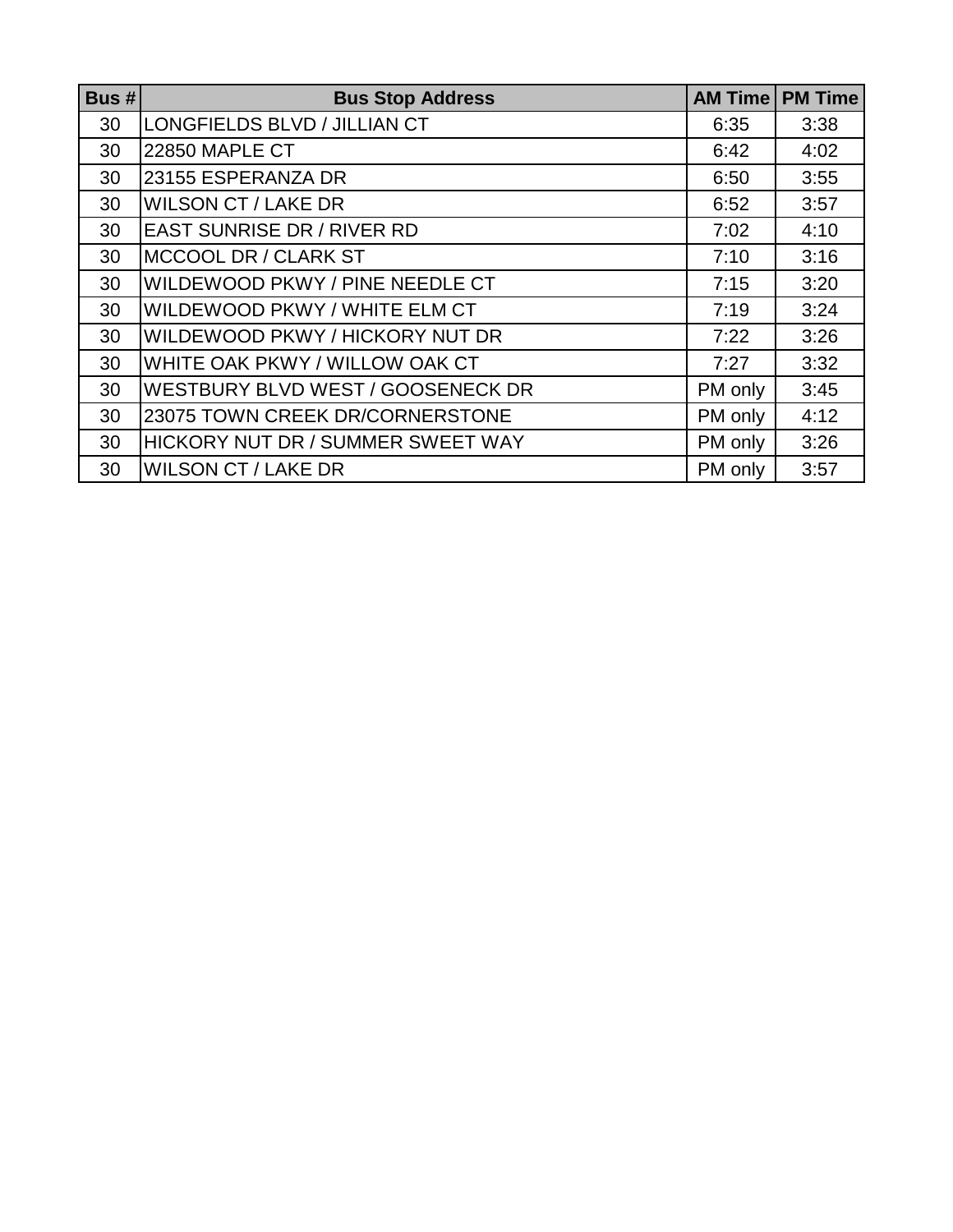| Bus# | <b>Bus Stop Address</b>           | <b>AM Time</b> | <b>PM Time</b> |
|------|-----------------------------------|----------------|----------------|
| 30   | LONGFIELDS BLVD / JILLIAN CT      | 6:35           | 3:38           |
| 30   | <b>22850 MAPLE CT</b>             | 6:42           | 4:02           |
| 30   | 23155 ESPERANZA DR                | 6:50           | 3:55           |
| 30   | <b>WILSON CT / LAKE DR</b>        | 6:52           | 3:57           |
| 30   | <b>EAST SUNRISE DR / RIVER RD</b> | 7:02           | 4:10           |
| 30   | MCCOOL DR / CLARK ST              | 7:10           | 3:16           |
| 30   | WILDEWOOD PKWY / PINE NEEDLE CT   | 7:15           | 3:20           |
| 30   | WILDEWOOD PKWY / WHITE ELM CT     | 7:19           | 3:24           |
| 30   | WILDEWOOD PKWY / HICKORY NUT DR   | 7:22           | 3:26           |
| 30   | WHITE OAK PKWY / WILLOW OAK CT    | 7:27           | 3:32           |
| 30   | WESTBURY BLVD WEST / GOOSENECK DR | PM only        | 3:45           |
| 30   | 23075 TOWN CREEK DR/CORNERSTONE   | PM only        | 4:12           |
| 30   | HICKORY NUT DR / SUMMER SWEET WAY | PM only        | 3:26           |
| 30   | <b>WILSON CT / LAKE DR</b>        | PM only        | 3:57           |